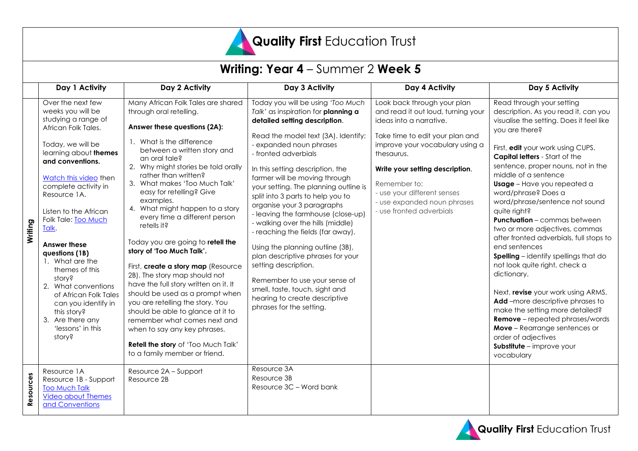

#### **Writing: Year 4** – Summer 2 **Week 5 Day 1 Activity Day 2 Activity Day 3 Activity Day 4 Activity Day 5 Activity Writing** Over the next few weeks you will be studying a range of African Folk Tales. Today, we will be learning about **themes and conventions.** [Watch this video](https://vimeo.com/429549274/86014364cf) then complete activity in Resource 1A. Listen to the African Folk Tale: [Too Much](https://vimeo.com/429543125/5ff736f0d2)  [Talk.](https://vimeo.com/429543125/5ff736f0d2) **Answer these questions (1B)** 1. What are the themes of this story? 2. What conventions of African Folk Tales can you identify in this story? 3. Are there any 'lessons' in this story? Many African Folk Tales are shared through oral retelling. **Answer these questions (2A):** 1. What is the difference between a written story and an oral tale? 2. Why might stories be told orally rather than written? 3. What makes 'Too Much Talk' easy for retelling? Give examples. 4. What might happen to a story every time a different person retells it? Today you are going to **retell the story of 'Too Much Talk'.** First, **create a story map** (Resource 2B). The story map should not have the full story written on it. It should be used as a prompt when you are retelling the story. You should be able to glance at it to remember what comes next and when to say any key phrases. **Retell the story** of 'Too Much Talk' to a family member or friend. Today you will be using *'Too Much Talk'* as inspiration for **planning a detailed setting description**. Read the model text (3A). Identify: - expanded noun phrases - fronted adverbials In this setting description, the farmer will be moving through your setting. The planning outline is split into 3 parts to help you to organise your 3 paragraphs - leaving the farmhouse (close-up) - walking over the hills (middle) - reaching the fields (far away). Using the planning outline (3B), plan descriptive phrases for your setting description. Remember to use your sense of smell, taste, touch, sight and hearing to create descriptive phrases for the setting. Look back through your plan and read it out loud, turning your ideas into a narrative. Take time to edit your plan and improve your vocabulary using a thesaurus. **Write your setting description**. Remember to: - use your different senses - use expanded noun phrases - use fronted adverbials Read through your setting description. As you read it, can you visualise the setting. Does it feel like you are there? First, **edit** your work using CUPS. **Capital letters** - Start of the sentence, proper nouns, not in the middle of a sentence **Usage** – Have you repeated a word/phrase? Does a word/phrase/sentence not sound quite right? **Punctuation** – commas between two or more adjectives, commas after fronted adverbials, full stops to end sentences **Spelling** – identify spellings that do not look quite right, check a dictionary. Next, **revise** your work using ARMS. Add –more descriptive phrases to make the setting more detailed? **Remove** – repeated phrases/words **Move** – Rearrange sentences or order of adjectives **Substitute** – improve your vocabulary **Resources** Resource 1A Resource 1B - Support [Too Much Talk](https://vimeo.com/429543125/5ff736f0d2) [Video about Themes](https://vimeo.com/429549274/86014364cf)  [and Conventions](https://vimeo.com/429549274/86014364cf) Resource 2A – Support Resource 2B Resource 3A Resource 3B Resource 3C – Word bank

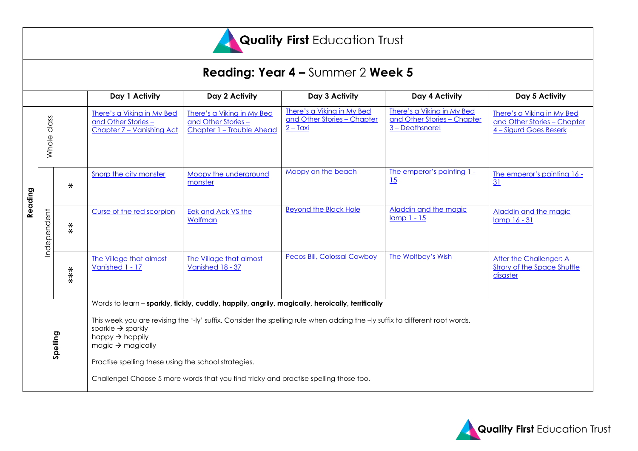

# **Reading: Year 4 –** Summer 2 **Week 5**

|          |                |          | Day 1 Activity                                                                                                                                                                                                                                                                       | Day 2 Activity                                                                | Day 3 Activity                                                             | Day 4 Activity                                                               | Day 5 Activity                                                                      |  |
|----------|----------------|----------|--------------------------------------------------------------------------------------------------------------------------------------------------------------------------------------------------------------------------------------------------------------------------------------|-------------------------------------------------------------------------------|----------------------------------------------------------------------------|------------------------------------------------------------------------------|-------------------------------------------------------------------------------------|--|
|          |                |          |                                                                                                                                                                                                                                                                                      |                                                                               |                                                                            |                                                                              |                                                                                     |  |
| Reading  | class<br>Whole |          | There's a Viking in My Bed<br>and Other Stories-<br>Chapter 7 - Vanishing Act                                                                                                                                                                                                        | There's a Viking in My Bed<br>and Other Stories-<br>Chapter 1 - Trouble Ahead | There's a Viking in My Bed<br>and Other Stories - Chapter<br>$2 - T\alpha$ | There's a Viking in My Bed<br>and Other Stories - Chapter<br>3 - Deathsnore! | There's a Viking in My Bed<br>and Other Stories - Chapter<br>4 - Sigurd Goes Beserk |  |
|          |                | $\ast$   | Snorp the city monster                                                                                                                                                                                                                                                               | Moopy the underground<br>monster                                              | Moopy on the beach                                                         | The emperor's painting 1 -<br>15                                             | The emperor's painting 16 -<br>31                                                   |  |
|          | Independent    | $* \ast$ | Curse of the red scorpion                                                                                                                                                                                                                                                            | Eek and Ack VS the<br>Wolfman                                                 | <b>Beyond the Black Hole</b>                                               | Aladdin and the magic<br>$lamp1 - 15$                                        | Aladdin and the magic<br>lamp 16 - 31                                               |  |
|          |                | $***$    | The Village that almost<br>Vanished 1 - 17                                                                                                                                                                                                                                           | The Village that almost<br>Vanished 18 - 37                                   | <b>Pecos Bill, Colossal Cowboy</b>                                         | The Wolfboy's Wish                                                           | After the Challenger: A<br><b>Strory of the Space Shuttle</b><br>disaster           |  |
|          |                |          | Words to learn - sparkly, tickly, cuddly, happily, angrily, magically, heroically, terrifically                                                                                                                                                                                      |                                                                               |                                                                            |                                                                              |                                                                                     |  |
| Spelling |                |          | This week you are revising the '-ly' suffix. Consider the spelling rule when adding the -ly suffix to different root words.<br>sparkle $\rightarrow$ sparkly<br>happy $\rightarrow$ happily<br>magic $\rightarrow$ magically<br>Practise spelling these using the school strategies. |                                                                               |                                                                            |                                                                              |                                                                                     |  |
|          |                |          | Challenge! Choose 5 more words that you find tricky and practise spelling those too.                                                                                                                                                                                                 |                                                                               |                                                                            |                                                                              |                                                                                     |  |

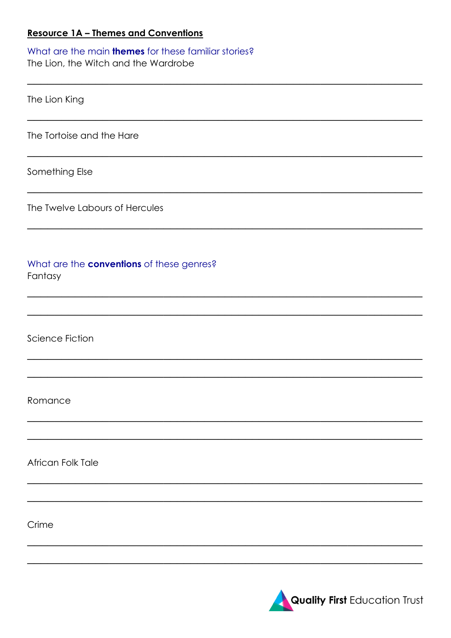#### **Resource 1A - Themes and Conventions**

What are the main **themes** for these familiar stories? The Lion, the Witch and the Wardrobe

| The Lion King                                               |
|-------------------------------------------------------------|
| The Tortoise and the Hare                                   |
| Something Else                                              |
| The Twelve Labours of Hercules                              |
| What are the <b>conventions</b> of these genres?<br>Fantasy |
|                                                             |
| <b>Science Fiction</b>                                      |
|                                                             |
| Romance                                                     |
|                                                             |
| African Folk Tale                                           |
|                                                             |
| Crime                                                       |
|                                                             |

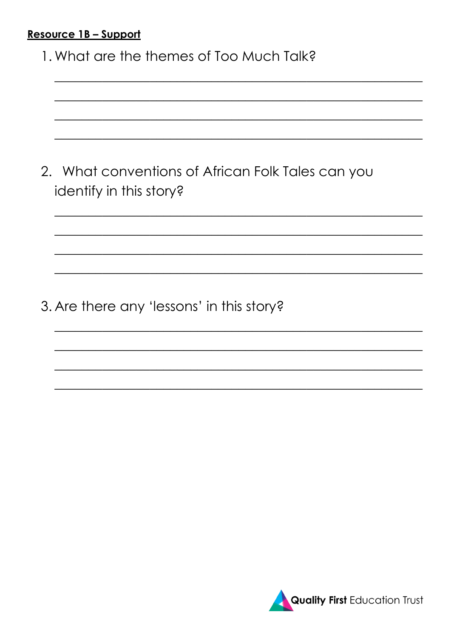### Resource 1B - Support

1. What are the themes of Too Much Talk?

|                         | 2. What conventions of African Folk Tales can you |
|-------------------------|---------------------------------------------------|
| identify in this story? |                                                   |

3. Are there any 'lessons' in this story?

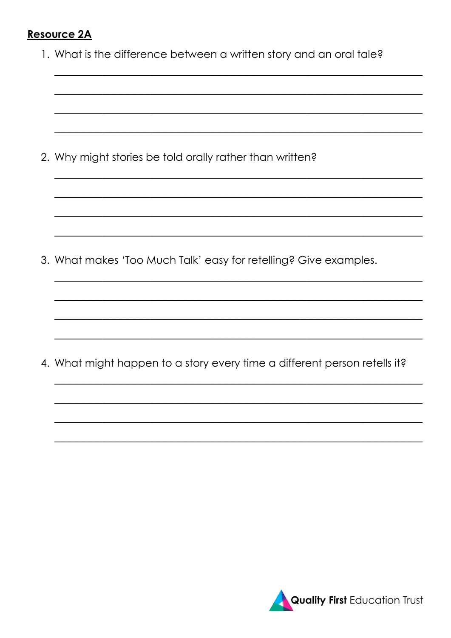### **Resource 2A**

|  | 1. What is the difference between a written story and an oral tale? |  |  |  |  |
|--|---------------------------------------------------------------------|--|--|--|--|
|--|---------------------------------------------------------------------|--|--|--|--|

2. Why might stories be told orally rather than written?

3. What makes 'Too Much Talk' easy for retelling? Give examples.

4. What might happen to a story every time a different person retells it?

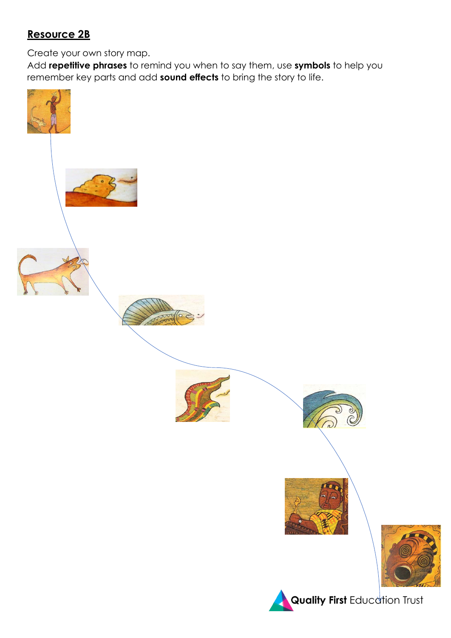## **Resource 2B**

Create your own story map.

Add **repetitive phrases** to remind you when to say them, use **symbols** to help you remember key parts and add **sound effects** to bring the story to life.

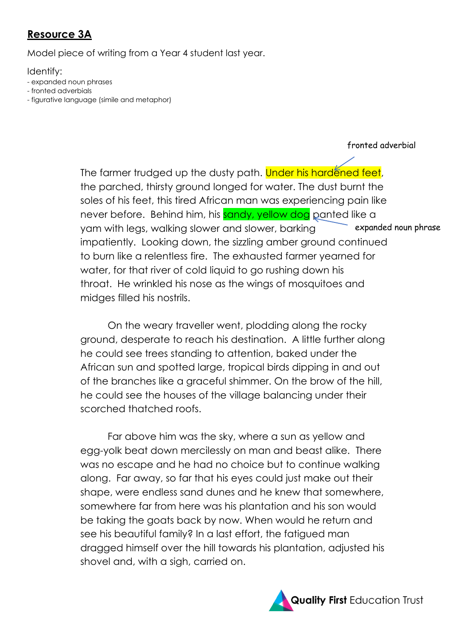## **Resource 3A**

Model piece of writing from a Year 4 student last year.

Identify:

- expanded noun phrases
- fronted adverbials
- figurative language (simile and metaphor)

#### fronted adverbial

The farmer trudged up the dusty path. Under his hardened feet, the parched, thirsty ground longed for water. The dust burnt the soles of his feet, this tired African man was experiencing pain like never before. Behind him, his sandy, yellow dog panted like a yam with legs, walking slower and slower, barking impatiently. Looking down, the sizzling amber ground continued to burn like a relentless fire. The exhausted farmer yearned for water, for that river of cold liquid to go rushing down his throat. He wrinkled his nose as the wings of mosquitoes and midges filled his nostrils. expanded noun phrase

On the weary traveller went, plodding along the rocky ground, desperate to reach his destination. A little further along he could see trees standing to attention, baked under the African sun and spotted large, tropical birds dipping in and out of the branches like a graceful shimmer. On the brow of the hill, he could see the houses of the village balancing under their scorched thatched roofs.

Far above him was the sky, where a sun as yellow and egg-yolk beat down mercilessly on man and beast alike. There was no escape and he had no choice but to continue walking along. Far away, so far that his eyes could just make out their shape, were endless sand dunes and he knew that somewhere, somewhere far from here was his plantation and his son would be taking the goats back by now. When would he return and see his beautiful family? In a last effort, the fatigued man dragged himself over the hill towards his plantation, adjusted his shovel and, with a sigh, carried on.

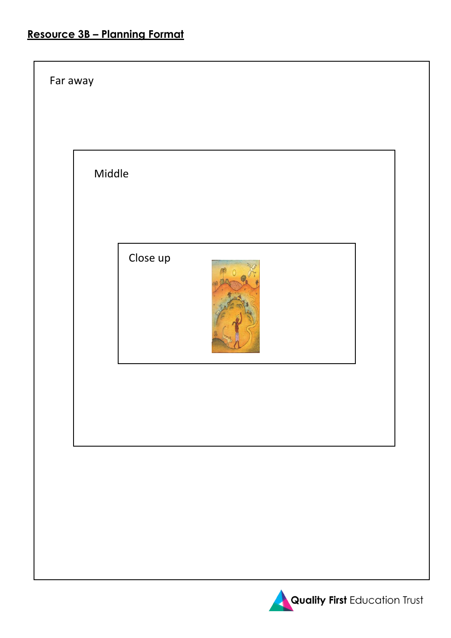# **Resource 3B – Planning Format**

| Far away |        |          |  |  |
|----------|--------|----------|--|--|
|          | Middle |          |  |  |
|          |        | Close up |  |  |
|          |        |          |  |  |
|          |        |          |  |  |